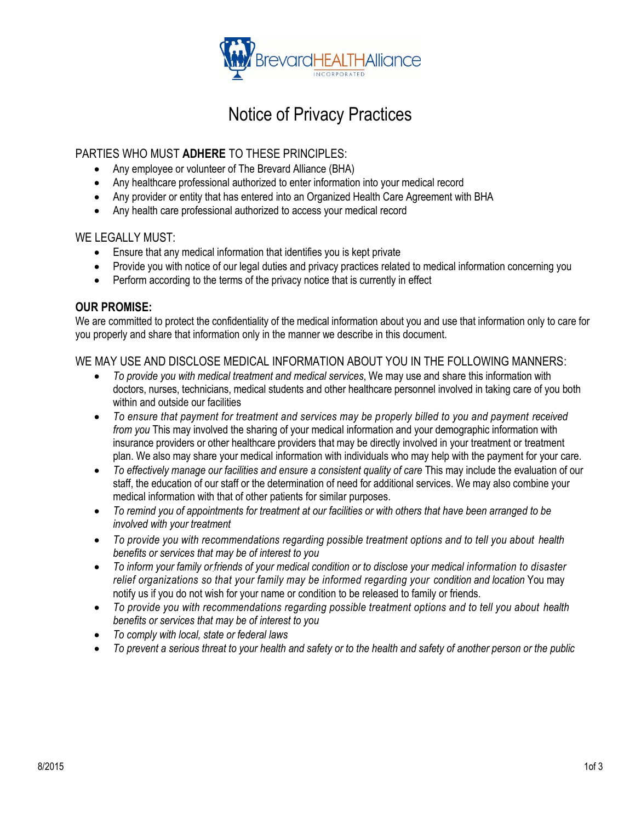

## Notice of Privacy Practices

### PARTIES WHO MUST **ADHERE** TO THESE PRINCIPLES:

- Any employee or volunteer of The Brevard Alliance (BHA)
- Any healthcare professional authorized to enter information into your medical record
- Any provider or entity that has entered into an Organized Health Care Agreement with BHA
- Any health care professional authorized to access your medical record

#### WE LEGALLY MUST:

- Ensure that any medical information that identifies you is kept private
- Provide you with notice of our legal duties and privacy practices related to medical information concerning you
- Perform according to the terms of the privacy notice that is currently in effect

#### **OUR PROMISE:**

We are committed to protect the confidentiality of the medical information about you and use that information only to care for you properly and share that information only in the manner we describe in this document.

### WE MAY USE AND DISCLOSE MEDICAL INFORMATION ABOUT YOU IN THE FOLLOWING MANNERS:

- *To provide you with medical treatment and medical services*, We may use and share this information with doctors, nurses, technicians, medical students and other healthcare personnel involved in taking care of you both within and outside our facilities
- *To ensure that payment for treatment and services may be properly billed to you and payment received from you* This may involved the sharing of your medical information and your demographic information with insurance providers or other healthcare providers that may be directly involved in your treatment or treatment plan. We also may share your medical information with individuals who may help with the payment for your care.
- To effectively manage our facilities and ensure a consistent quality of care This may include the evaluation of our staff, the education of our staff or the determination of need for additional services. We may also combine your medical information with that of other patients for similar purposes.
- *To remind you of appointments for treatment at our facilities or with others that have been arranged to be involved with your treatment*
- *To provide you with recommendations regarding possible treatment options and to tell you about health benefits or services that may be of interest to you*
- *To inform your family or.friends of your medical condition or to disclose your medical information to disaster relief organizations so that your family may be informed regarding your condition and location* You may notify us if you do not wish for your name or condition to be released to family or friends.
- *To provide you with recommendations regarding possible treatment options and to tell you about health benefits or services that may be of interest to you*
- *To comply with local, state or federal laws*
- *To prevent a serious threat to your health and safety or to the health and safety of another person or the public*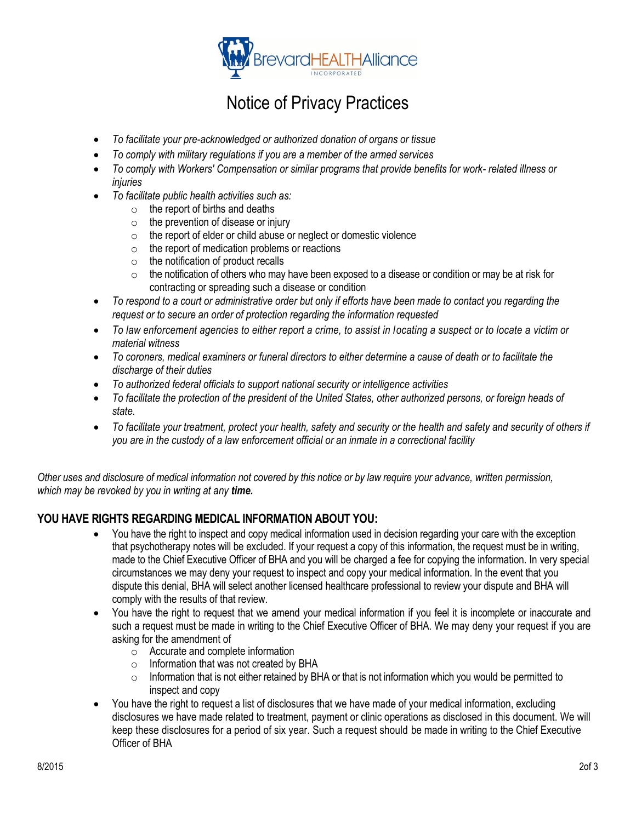

# Notice of Privacy Practices

- *To facilitate your pre-acknowledged or authorized donation of organs or tissue*
- *To comply with military regulations if you are a member of the armed services*
- *To comply with Workers' Compensation or similar programs that provide benefits for work- related illness or injuries*
- *To facilitate public health activities such as:*
	- $\circ$  the report of births and deaths
	- $\circ$  the prevention of disease or injury
	- $\circ$  the report of elder or child abuse or neglect or domestic violence
	- $\circ$  the report of medication problems or reactions
	- $\circ$  the notification of product recalls
	- $\circ$  the notification of others who may have been exposed to a disease or condition or may be at risk for contracting or spreading such a disease or condition
- *To respond to a court or administrative order but only if efforts have been made to contact you regarding the request or to secure an order of protection regarding the information requested*
- *To law enforcement agencies to either report a crime, to assist in locating a suspect or to locate a victim or material witness*
- *To coroners, medical examiners or funeral directors to either determine a cause of death or to facilitate the discharge of their duties*
- *To authorized federal officials to support national security or intelligence activities*
- *To facilitate the protection of the president of the United States, other authorized persons, or foreign heads of state.*
- *To facilitate your treatment, protect your health, safety and security or the health and safety and security of others if you are in the custody of a law enforcement official or an inmate in a correctional facility*

*Other uses and disclosure of medical information not covered by this notice or by law require your advance, written permission, which may be revoked by you in writing at any time.*

### **YOU HAVE RIGHTS REGARDING MEDICAL INFORMATION ABOUT YOU:**

- You have the right to inspect and copy medical information used in decision regarding your care with the exception that psychotherapy notes will be excluded. If your request a copy of this information, the request must be in writing, made to the Chief Executive Officer of BHA and you will be charged a fee for copying the information. In very special circumstances we may deny your request to inspect and copy your medical information. In the event that you dispute this denial, BHA will select another licensed healthcare professional to review your dispute and BHA will comply with the results of that review.
- You have the right to request that we amend your medical information if you feel it is incomplete or inaccurate and such a request must be made in writing to the Chief Executive Officer of BHA. We may deny your request if you are asking for the amendment of
	- $\overline{\circ}$  Accurate and complete information
	- o Information that was not created by BHA
	- $\circ$  Information that is not either retained by BHA or that is not information which you would be permitted to inspect and copy
- You have the right to request a list of disclosures that we have made of your medical information, excluding disclosures we have made related to treatment, payment or clinic operations as disclosed in this document. We will keep these disclosures for a period of six year. Such a request should be made in writing to the Chief Executive Officer of BHA